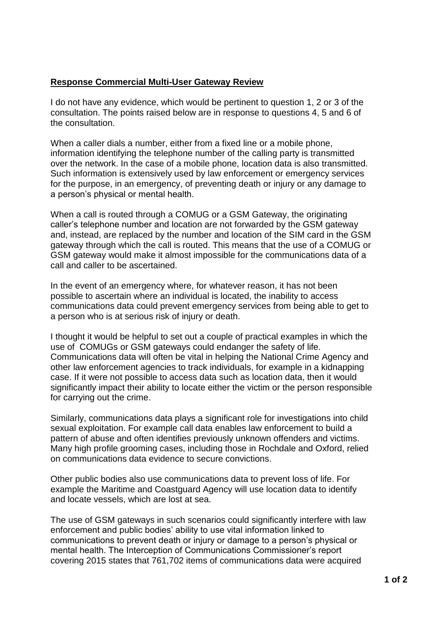## **Response Commercial Multi-User Gateway Review**

I do not have any evidence, which would be pertinent to question 1, 2 or 3 of the consultation. The points raised below are in response to questions 4, 5 and 6 of the consultation.

When a caller dials a number, either from a fixed line or a mobile phone, information identifying the telephone number of the calling party is transmitted over the network. In the case of a mobile phone, location data is also transmitted. Such information is extensively used by law enforcement or emergency services for the purpose, in an emergency, of preventing death or injury or any damage to a person's physical or mental health.

When a call is routed through a COMUG or a GSM Gateway, the originating caller's telephone number and location are not forwarded by the GSM gateway and, instead, are replaced by the number and location of the SIM card in the GSM gateway through which the call is routed. This means that the use of a COMUG or GSM gateway would make it almost impossible for the communications data of a call and caller to be ascertained.

In the event of an emergency where, for whatever reason, it has not been possible to ascertain where an individual is located, the inability to access communications data could prevent emergency services from being able to get to a person who is at serious risk of injury or death.

I thought it would be helpful to set out a couple of practical examples in which the use of COMUGs or GSM gateways could endanger the safety of life. Communications data will often be vital in helping the National Crime Agency and other law enforcement agencies to track individuals, for example in a kidnapping case. If it were not possible to access data such as location data, then it would significantly impact their ability to locate either the victim or the person responsible for carrying out the crime.

Similarly, communications data plays a significant role for investigations into child sexual exploitation. For example call data enables law enforcement to build a pattern of abuse and often identifies previously unknown offenders and victims. Many high profile grooming cases, including those in Rochdale and Oxford, relied on communications data evidence to secure convictions.

Other public bodies also use communications data to prevent loss of life. For example the Maritime and Coastguard Agency will use location data to identify and locate vessels, which are lost at sea.

The use of GSM gateways in such scenarios could significantly interfere with law enforcement and public bodies' ability to use vital information linked to communications to prevent death or injury or damage to a person's physical or mental health. The Interception of Communications Commissioner's report covering 2015 states that 761,702 items of communications data were acquired